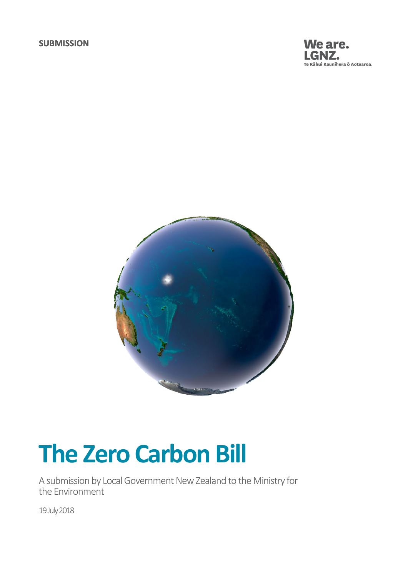



# **The Zero Carbon Bill**

A submission by Local Government New Zealand to the Ministry for the Environment

19 July 2018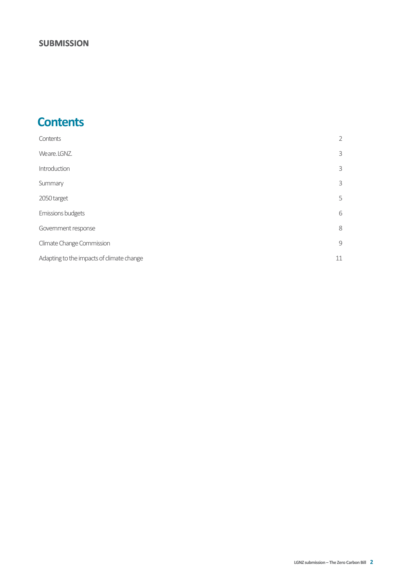# <span id="page-1-0"></span>**Contents**

| Contents                                  | $\overline{2}$ |
|-------------------------------------------|----------------|
| Weare. LGNZ.                              | 3              |
| Introduction                              | 3              |
| Summary                                   | 3              |
| 2050 target                               | 5              |
| Emissions budgets                         | 6              |
| Government response                       | 8              |
| Climate Change Commission                 | 9              |
| Adapting to the impacts of climate change | 11             |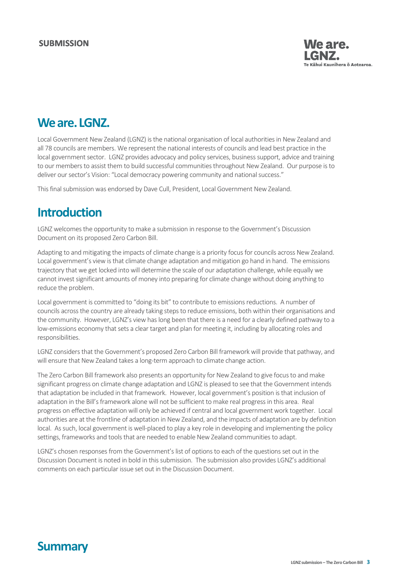

# <span id="page-2-0"></span>**Weare.LGNZ.**

Local Government New Zealand (LGNZ) is the national organisation of local authorities in New Zealand and all 78 councils are members. We represent the national interests of councils and lead best practice in the local government sector. LGNZ provides advocacy and policy services, business support, advice and training to our members to assist them to build successful communities throughout New Zealand. Our purpose is to deliver our sector's Vision: "Local democracy powering community and national success."

This final submission was endorsed by Dave Cull, President, Local Government New Zealand.

# <span id="page-2-1"></span>**Introduction**

LGNZ welcomes the opportunity to make a submission in response to the Government's Discussion Document on its proposed Zero Carbon Bill.

Adapting to and mitigating the impacts of climate change is a priority focus for councils across New Zealand. Local government's view is that climate change adaptation and mitigation go hand in hand. The emissions trajectory that we get locked into will determine the scale of our adaptation challenge, while equally we cannot invest significant amounts of money into preparing for climate change without doing anything to reduce the problem.

Local government is committed to "doing its bit" to contribute to emissions reductions. A number of councils across the country are already taking steps to reduce emissions, both within their organisations and the community. However, LGNZ's view has long been that there is a need for a clearly defined pathway to a low-emissions economy that sets a clear target and plan for meeting it, including by allocating roles and responsibilities.

LGNZ considers that the Government's proposed Zero Carbon Bill framework will provide that pathway, and will ensure that New Zealand takes a long-term approach to climate change action.

The Zero Carbon Bill framework also presents an opportunity for New Zealand to give focus to and make significant progress on climate change adaptation and LGNZ is pleased to see that the Government intends that adaptation be included in that framework. However, local government's position is that inclusion of adaptation in the Bill's framework alone will not be sufficient to make real progress in this area. Real progress on effective adaptation will only be achieved if central and local government work together. Local authorities are at the frontline of adaptation in New Zealand, and the impacts of adaptation are by definition local. As such, local government is well-placed to play a key role in developing and implementing the policy settings, frameworks and tools that are needed to enable New Zealand communities to adapt.

<span id="page-2-2"></span>LGNZ's chosen responses from the Government's list of options to each of the questions set out in the Discussion Document is noted in bold in this submission. The submission also provides LGNZ's additional comments on each particular issue set out in the Discussion Document.

# **Summary**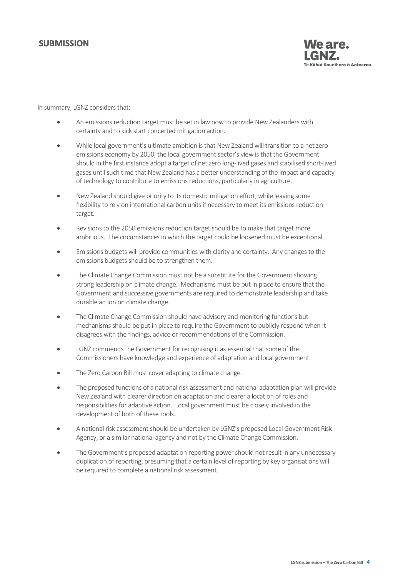

#### In summary, LGNZ considers that:

- An emissions reduction target must be set in law now to provide New Zealanders with certainty and to kick start concerted mitigation action.
- While local government's ultimate ambition is that New Zealand will transition to a net zero emissions economy by 2050, the local government sector's view is that the Government should in the first instance adopt a target of net zero long-lived gases and stabilised short-lived gases until such time that New Zealand has a better understanding of the impact and capacity of technology to contribute to emissions reductions, particularly in agriculture.
- New Zealand should give priority to its domestic mitigation effort, while leaving some flexibility to rely on international carbon units if necessary to meet its emissions reduction target.
- Revisions to the 2050 emissions reduction target should be to make that target more ambitious. The circumstances in which the target could be loosened must be exceptional.
- Emissions budgets will provide communities with clarity and certainty. Any changes to the emissions budgets should be to strengthen them.
- The Climate Change Commission must not be a substitute for the Government showing strong leadership on climate change. Mechanisms must be put in place to ensure that the Government and successive governments are required to demonstrate leadership and take durable action on climate change.
- The Climate Change Commission should have advisory and monitoring functions but mechanisms should be put in place to require the Government to publicly respond when it disagrees with the findings, advice or recommendations of the Commission.
- LGNZ commends the Government for recognising it as essential that some of the Commissioners have knowledge and experience of adaptation and local government.
- The Zero Carbon Bill must cover adapting to climate change.
- The proposed functions of a national risk assessment and national adaptation plan will provide New Zealand with clearer direction on adaptation and clearer allocation of roles and responsibilities for adaptive action. Local government must be closely involved in the development of both of these tools.
- A national risk assessment should be undertaken by LGNZ's proposed Local Government Risk Agency, or a similar national agency and not by the Climate Change Commission.
- The Government's proposed adaptation reporting power should not result in any unnecessary duplication of reporting, presuming that a certain level of reporting by key organisations will be required to complete a national risk assessment.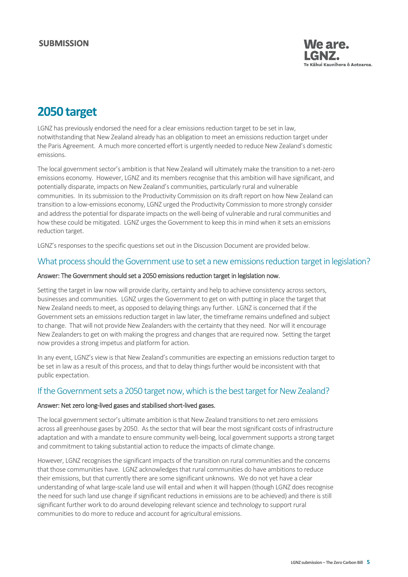

# <span id="page-4-0"></span>**2050 target**

LGNZ has previously endorsed the need for a clear emissions reduction target to be set in law, notwithstanding that New Zealand already has an obligation to meet an emissions reduction target under the Paris Agreement. A much more concerted effort is urgently needed to reduce New Zealand's domestic emissions.

The local government sector's ambition is that New Zealand will ultimately make the transition to a net-zero emissions economy. However, LGNZ and its members recognise that this ambition will have significant, and potentially disparate, impacts on New Zealand's communities, particularly rural and vulnerable communities. In its submission to the Productivity Commission on its draft report on how New Zealand can transition to a low-emissions economy, LGNZ urged the Productivity Commission to more strongly consider and address the potential for disparate impacts on the well-being of vulnerable and rural communities and how these could be mitigated. LGNZ urges the Government to keep this in mind when it sets an emissions reduction target.

LGNZ's responses to the specific questions set out in the Discussion Document are provided below.

#### What process should the Government use to set a new emissions reduction target in legislation?

#### Answer: The Government should set a 2050 emissions reduction target in legislation now.

Setting the target in law now will provide clarity, certainty and help to achieve consistency across sectors, businesses and communities. LGNZ urges the Government to get on with putting in place the target that New Zealand needs to meet, as opposed to delaying things any further. LGNZ is concerned that if the Government sets an emissions reduction target in law later, the timeframe remains undefined and subject to change. That will not provide New Zealanders with the certainty that they need. Nor will it encourage New Zealanders to get on with making the progress and changes that are required now. Setting the target now provides a strong impetus and platform for action.

In any event, LGNZ's view is that New Zealand's communities are expecting an emissions reduction target to be set in law as a result of this process, and that to delay things further would be inconsistent with that public expectation.

### If the Government sets a 2050 target now, which is the best target for New Zealand?

#### Answer: Net zero long-lived gases and stabilised short-lived gases.

The local government sector's ultimate ambition is that New Zealand transitions to net zero emissions across all greenhouse gases by 2050. As the sector that will bear the most significant costs of infrastructure adaptation and with a mandate to ensure community well-being, local government supports a strong target and commitment to taking substantial action to reduce the impacts of climate change.

However, LGNZ recognises the significant impacts of the transition on rural communities and the concerns that those communities have. LGNZ acknowledges that rural communities do have ambitions to reduce their emissions, but that currently there are some significant unknowns. We do not yet have a clear understanding of what large-scale land use will entail and when it will happen (though LGNZ does recognise the need for such land use change if significant reductions in emissions are to be achieved) and there is still significant further work to do around developing relevant science and technology to support rural communities to do more to reduce and account for agricultural emissions.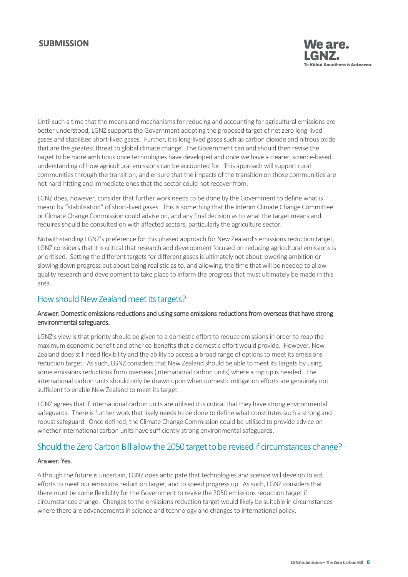

Until such a time that the means and mechanisms for reducing and accounting for agricultural emissions are better understood, LGNZ supports the Government adopting the proposed target of net zero long-lived gases and stabilised short-lived gases. Further, it is long-lived gases such as carbon dioxide and nitrous oxide that are the greatest threat to global climate change. The Government can and should then revise the target to be more ambitious once technologies have developed and once we have a clearer, science-based understanding of how agricultural emissions can be accounted for. This approach will support rural communities through the transition, and ensure that the impacts of the transition on those communities are not hard-hitting and immediate ones that the sector could not recover from.

LGNZ does, however, consider that further work needs to be done by the Government to define what is meant by "stabilisation" of short-lived gases. This is something that the Interim Climate Change Committee or Climate Change Commission could advise on, and any final decision as to what the target means and requires should be consulted on with affected sectors, particularly the agriculture sector.

Notwithstanding LGNZ's preference for this phased approach for New Zealand's emissions reduction target, LGNZ considers that it is critical that research and development focused on reducing agricultural emissions is prioritised. Setting the different targets for different gases is ultimately not about lowering ambition or slowing down progress but about being realistic as to, and allowing, the time that will be needed to allow quality research and development to take place to inform the progress that must ultimately be made in this area.

### How should New Zealand meet its targets?

#### Answer: Domestic emissions reductions and using some emissions reductions from overseas that have strong environmental safeguards.

LGNZ's view is that priority should be given to a domestic effort to reduce emissions in order to reap the maximum economic benefit and other co-benefits that a domestic effort would provide. However, New Zealand does still need flexibility and the ability to access a broad range of options to meet its emissions reduction target. As such, LGNZ considers that New Zealand should be able to meet its targets by using some emissions reductions from overseas (international carbon units) where a top up is needed. The international carbon units should only be drawn upon when domestic mitigation efforts are genuinely not sufficient to enable New Zealand to meet its target.

LGNZ agrees that if international carbon units are utilised it is critical that they have strong environmental safeguards. There is further work that likely needs to be done to define what constitutes such a strong and robust safeguard. Once defined, the Climate Change Commission could be utilised to provide advice on whether international carbon units have sufficiently strong environmental safeguards.

### Should the Zero Carbon Bill allow the 2050 target to be revised if circumstances change?

#### Answer: Yes.

<span id="page-5-0"></span>Although the future is uncertain, LGNZ does anticipate that technologies and science will develop to aid efforts to meet our emissions reduction target, and to speed progress up. As such, LGNZ considers that there must be some flexibility for the Government to revise the 2050 emissions reduction target if circumstances change. Changes to the emissions reduction target would likely be suitable in circumstances where there are advancements in science and technology and changes to international policy.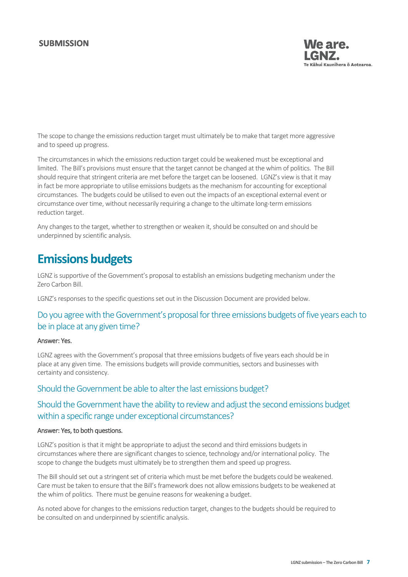

The scope to change the emissions reduction target must ultimately be to make that target more aggressive and to speed up progress.

The circumstances in which the emissions reduction target could be weakened must be exceptional and limited. The Bill's provisions must ensure that the target cannot be changed at the whim of politics. The Bill should require that stringent criteria are met before the target can be loosened. LGNZ's view is that it may in fact be more appropriate to utilise emissions budgets as the mechanism for accounting for exceptional circumstances. The budgets could be utilised to even out the impacts of an exceptional external event or circumstance over time, without necessarily requiring a change to the ultimate long-term emissions reduction target.

Any changes to the target, whether to strengthen or weaken it, should be consulted on and should be underpinned by scientific analysis.

# **Emissions budgets**

LGNZ is supportive of the Government's proposal to establish an emissions budgeting mechanism under the Zero Carbon Bill.

LGNZ's responses to the specific questions set out in the Discussion Document are provided below.

# Do you agree with the Government's proposal for three emissions budgets of five years each to be in place at any given time?

#### Answer: Yes.

LGNZ agrees with the Government's proposal that three emissions budgets of five years each should be in place at any given time. The emissions budgets will provide communities, sectors and businesses with certainty and consistency.

#### Should the Government be able to alter the last emissions budget?

## Should the Government have the ability to review and adjust the second emissions budget within a specific range under exceptional circumstances?

#### Answer: Yes, to both questions.

LGNZ's position is that it might be appropriate to adjust the second and third emissions budgets in circumstances where there are significant changes to science, technology and/or international policy. The scope to change the budgets must ultimately be to strengthen them and speed up progress.

The Bill should set out a stringent set of criteria which must be met before the budgets could be weakened. Care must be taken to ensure that the Bill's framework does not allow emissions budgets to be weakened at the whim of politics. There must be genuine reasons for weakening a budget.

As noted above for changes to the emissions reduction target, changes to the budgets should be required to be consulted on and underpinned by scientific analysis.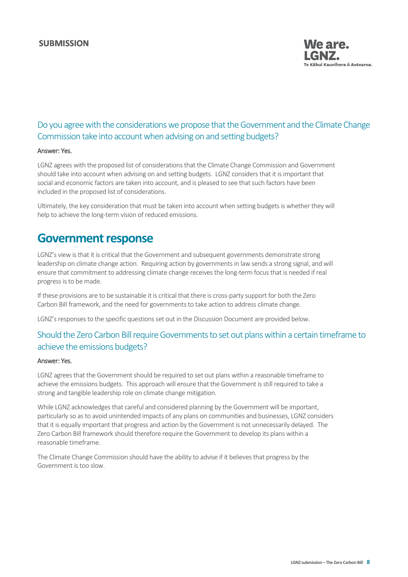

# Do you agree with the considerations we propose that the Government and the Climate Change Commission take into account when advising on and setting budgets?

#### Answer: Yes.

LGNZ agrees with the proposed list of considerations that the Climate Change Commission and Government should take into account when advising on and setting budgets. LGNZ considers that it is important that social and economic factors are taken into account, and is pleased to see that such factors have been included in the proposed list of considerations.

<span id="page-7-0"></span>Ultimately, the key consideration that must be taken into account when setting budgets is whether they will help to achieve the long-term vision of reduced emissions.

# **Government response**

LGNZ's view is that it is critical that the Government and subsequent governments demonstrate strong leadership on climate change action. Requiring action by governments in law sends a strong signal, and will ensure that commitment to addressing climate change receives the long-term focus that is needed if real progress is to be made.

If these provisions are to be sustainable it is critical that there is cross-party support for both the Zero Carbon Bill framework, and the need for governments to take action to address climate change.

LGNZ's responses to the specific questions set out in the Discussion Document are provided below.

## Should the Zero Carbon Bill require Governments to set out plans within a certain timeframe to achieve the emissions budgets?

#### Answer: Yes.

LGNZ agrees that the Government should be required to set out plans within a reasonable timeframe to achieve the emissions budgets. This approach will ensure that the Government is still required to take a strong and tangible leadership role on climate change mitigation.

While LGNZ acknowledges that careful and considered planning by the Government will be important, particularly so as to avoid unintended impacts of any plans on communities and businesses, LGNZ considers that it is equally important that progress and action by the Government is not unnecessarily delayed. The Zero Carbon Bill framework should therefore require the Government to develop its plans within a reasonable timeframe.

The Climate Change Commission should have the ability to advise if it believes that progress by the Government is too slow.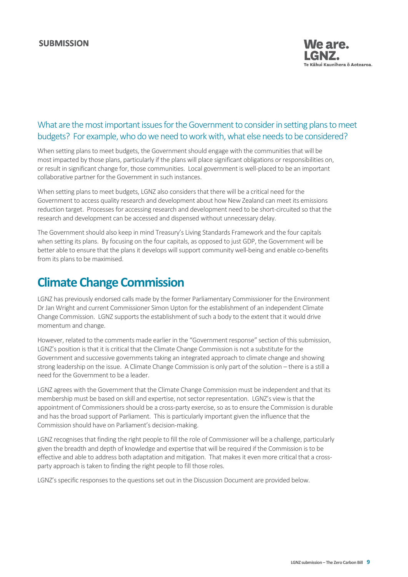

# What are the most important issues for the Government to consider in setting plans to meet budgets? For example, who do we need to work with, what else needs to be considered?

When setting plans to meet budgets, the Government should engage with the communities that will be most impacted by those plans, particularly if the plans will place significant obligations or responsibilities on, or result in significant change for, those communities. Local government is well-placed to be an important collaborative partner for the Government in such instances.

When setting plans to meet budgets, LGNZ also considers that there will be a critical need for the Government to access quality research and development about how New Zealand can meet its emissions reduction target. Processes for accessing research and development need to be short-circuited so that the research and development can be accessed and dispensed without unnecessary delay.

The Government should also keep in mind Treasury's Living Standards Framework and the four capitals when setting its plans. By focusing on the four capitals, as opposed to just GDP, the Government will be better able to ensure that the plans it develops will support community well-being and enable co-benefits from its plans to be maximised.

# <span id="page-8-0"></span>**Climate Change Commission**

LGNZ has previously endorsed calls made by the former Parliamentary Commissioner for the Environment Dr Jan Wright and current Commissioner Simon Upton for the establishment of an independent Climate Change Commission. LGNZ supports the establishment of such a body to the extent that it would drive momentum and change.

However, related to the comments made earlier in the "Government response" section of this submission, LGNZ's position is that it is critical that the Climate Change Commission is not a substitute for the Government and successive governments taking an integrated approach to climate change and showing strong leadership on the issue. A Climate Change Commission is only part of the solution – there is a still a need for the Government to be a leader.

LGNZ agrees with the Government that the Climate Change Commission must be independent and that its membership must be based on skill and expertise, not sector representation. LGNZ's view is that the appointment of Commissioners should be a cross-party exercise, so as to ensure the Commission is durable and has the broad support of Parliament. This is particularly important given the influence that the Commission should have on Parliament's decision-making.

LGNZ recognises that finding the right people to fill the role of Commissioner will be a challenge, particularly given the breadth and depth of knowledge and expertise that will be required if the Commission is to be effective and able to address both adaptation and mitigation. That makes it even more critical that a crossparty approach is taken to finding the right people to fill those roles.

LGNZ's specific responses to the questions set out in the Discussion Document are provided below.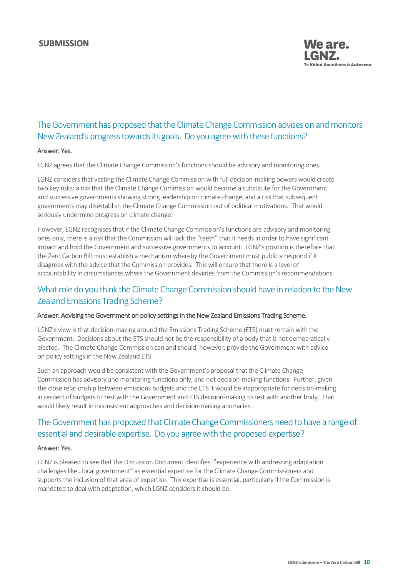

# The Government has proposed that the Climate Change Commission advises on and monitors New Zealand's progress towards its goals. Do you agree with these functions?

#### Answer: Yes.

LGNZ agrees that the Climate Change Commission's functions should be advisory and monitoring ones.

LGNZ considers that vesting the Climate Change Commission with full decision-making powers would create two key risks: a risk that the Climate Change Commission would become a substitute for the Government and successive governments showing strong leadership on climate change, and a risk that subsequent governments may disestablish the Climate Change Commission out of political motivations. That would seriously undermine progress on climate change.

However, LGNZ recognises that if the Climate Change Commission's functions are advisory and monitoring ones only, there is a risk that the Commission will lack the "teeth" that it needs in order to have significant impact and hold the Government and successive governments to account. LGNZ's position is therefore that the Zero Carbon Bill must establish a mechanism whereby the Government must publicly respond if it disagrees with the advice that the Commission provides. This will ensure that there is a level of accountability in circumstances where the Government deviates from the Commission's recommendations.

# What role do you think the Climate Change Commission should have in relation to the New Zealand Emissions Trading Scheme?

#### Answer: Advising the Government on policy settings in the New Zealand Emissions Trading Scheme.

LGNZ's view is that decision-making around the Emissions Trading Scheme (ETS) must remain with the Government. Decisions about the ETS should not be the responsibility of a body that is not democratically elected. The Climate Change Commission can and should, however, provide the Government with advice on policy settings in the New Zealand ETS.

Such an approach would be consistent with the Government's proposal that the Climate Change Commission has advisory and monitoring functions only, and not decision-making functions. Further, given the close relationship between emissions budgets and the ETS it would be inappropriate for decision-making in respect of budgets to rest with the Government and ETS decision-making to rest with another body. That would likely result in inconsistent approaches and decision-making anomalies.

# The Government has proposed that Climate Change Commissioners need to have a range of essential and desirable expertise. Do you agree with the proposed expertise?

#### Answer: Yes.

LGNZ is pleased to see that the Discussion Document identifies :"experience with addressing adaptation challenges like…local government" as essential expertise for the Climate Change Commissioners and supports the inclusion of that area of expertise. This expertise is essential, particularly if the Commission is mandated to deal with adaptation, which LGNZ considers it should be.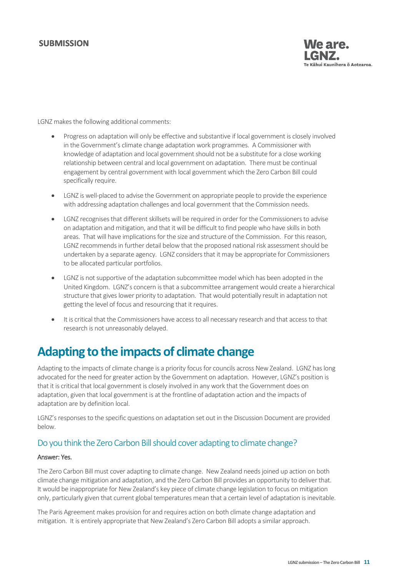

LGNZ makes the following additional comments:

- Progress on adaptation will only be effective and substantive if local government is closely involved in the Government's climate change adaptation work programmes. A Commissioner with knowledge of adaptation and local government should not be a substitute for a close working relationship between central and local government on adaptation. There must be continual engagement by central government with local government which the Zero Carbon Bill could specifically require.
- LGNZ is well-placed to advise the Government on appropriate people to provide the experience with addressing adaptation challenges and local government that the Commission needs.
- LGNZ recognises that different skillsets will be required in order for the Commissioners to advise on adaptation and mitigation, and that it will be difficult to find people who have skills in both areas. That will have implications for the size and structure of the Commission. For this reason, LGNZ recommends in further detail below that the proposed national risk assessment should be undertaken by a separate agency. LGNZ considers that it may be appropriate for Commissioners to be allocated particular portfolios.
- LGNZ is not supportive of the adaptation subcommittee model which has been adopted in the United Kingdom. LGNZ's concern is that a subcommittee arrangement would create a hierarchical structure that gives lower priority to adaptation. That would potentially result in adaptation not getting the level of focus and resourcing that it requires.
- It is critical that the Commissioners have access to all necessary research and that access to that research is not unreasonably delayed.

# <span id="page-10-0"></span>**Adapting to the impacts of climate change**

Adapting to the impacts of climate change is a priority focus for councils across New Zealand. LGNZ has long advocated for the need for greater action by the Government on adaptation. However, LGNZ's position is that it is critical that local government is closely involved in any work that the Government does on adaptation, given that local government is at the frontline of adaptation action and the impacts of adaptation are by definition local.

LGNZ's responses to the specific questions on adaptation set out in the Discussion Document are provided below.

# Do you think the Zero Carbon Bill should cover adapting to climate change?

#### Answer: Yes.

The Zero Carbon Bill must cover adapting to climate change. New Zealand needs joined up action on both climate change mitigation and adaptation, and the Zero Carbon Bill provides an opportunity to deliver that. It would be inappropriate for New Zealand's key piece of climate change legislation to focus on mitigation only, particularly given that current global temperatures mean that a certain level of adaptation is inevitable.

The Paris Agreement makes provision for and requires action on both climate change adaptation and mitigation. It is entirely appropriate that New Zealand's Zero Carbon Bill adopts a similar approach.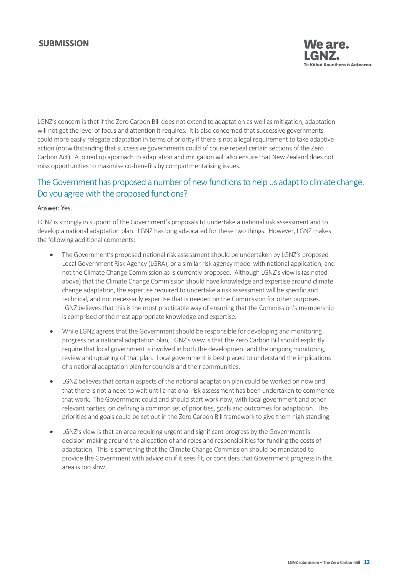

LGNZ's concern is that if the Zero Carbon Bill does not extend to adaptation as well as mitigation, adaptation will not get the level of focus and attention it requires. It is also concerned that successive governments could more easily relegate adaptation in terms of priority if there is not a legal requirement to take adaptive action (notwithstanding that successive governments could of course repeal certain sections of the Zero Carbon Act). A joined up approach to adaptation and mitigation will also ensure that New Zealand does not miss opportunities to maximise co-benefits by compartmentalising issues.

# The Government has proposed a number of new functions to help us adapt to climate change. Do you agree with the proposed functions?

#### Answer: Yes.

LGNZ is strongly in support of the Government's proposals to undertake a national risk assessment and to develop a national adaptation plan. LGNZ has long advocated for these two things. However, LGNZ makes the following additional comments:

- The Government's proposed national risk assessment should be undertaken by LGNZ's proposed Local Government Risk Agency (LGRA), or a similar risk agency model with national application, and not the Climate Change Commission as is currently proposed. Although LGNZ's view is (as noted above) that the Climate Change Commission should have knowledge and expertise around climate change adaptation, the expertise required to undertake a risk assessment will be specific and technical, and not necessarily expertise that is needed on the Commission for other purposes. LGNZ believes that this is the most practicable way of ensuring that the Commission's membership is comprised of the most appropriate knowledge and expertise.
- While LGNZ agrees that the Government should be responsible for developing and monitoring progress on a national adaptation plan, LGNZ's view is that the Zero Carbon Bill should explicitly require that local government is involved in both the development and the ongoing monitoring, review and updating of that plan. Local government is best placed to understand the implications of a national adaptation plan for councils and their communities.
- LGNZ believes that certain aspects of the national adaptation plan could be worked on now and that there is not a need to wait until a national risk assessment has been undertaken to commence that work. The Government could and should start work now, with local government and other relevant parties, on defining a common set of priorities, goals and outcomes for adaptation. The priorities and goals could be set out in the Zero Carbon Bill framework to give them high standing.
- LGNZ's view is that an area requiring urgent and significant progress by the Government is decision-making around the allocation of and roles and responsibilities for funding the costs of adaptation. This is something that the Climate Change Commission should be mandated to provide the Government with advice on if it sees fit, or considers that Government progress in this area is too slow.